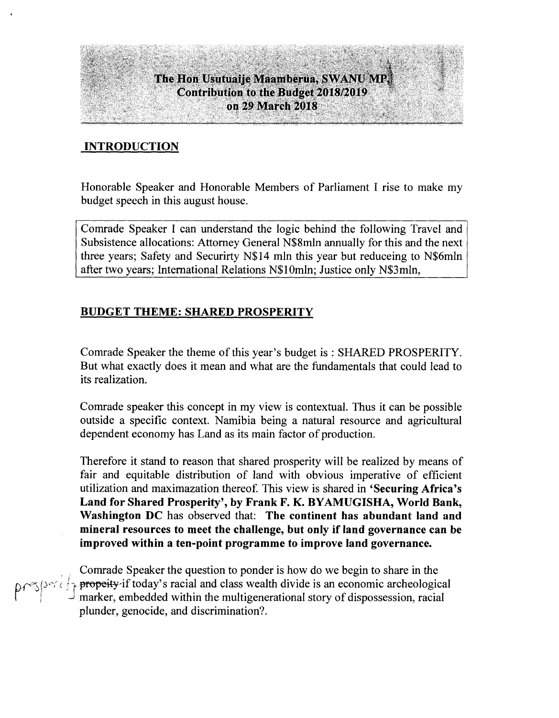#### **INTRODUCTION**

Honorable Speaker and Honorable Members of Parliament I rise to make my budget speech in this august house.

Comrade Speaker I can understand the logic behind the following Travel and Subsistence allocations: Attorney General N\$8mln annually for this and the next three years; Safety and Securirty N\$14 mln this year but reduceing to N\$6mln after two years; International Relations N\$10mln; Justice only N\$3mln,

#### **BUDGET THEME: SHARED PROSPERITY**

Comrade Speaker the theme of this year's budget is : SHARED PROSPERITY. But what exactly does it mean and what are the fundamentals that could lead to its realization.

Comrade speaker this concept in my view is contextual. Thus it can be possible outside a specific context. Namibia being a natural resource and agricultural dependent economy has Land as its main factor of production.

Therefore it stand to reason that shared prosperity will be realized by means of fair and equitable distribution of land with obvious imperative of efficient utilization and maximazation thereof. This view is shared in **'Securing Africa's Land for Shared Prosperity', by Frank F. K. BYAMUGISHA, World Bank, Washington DC** has observed that: **The continent has abundant land and mineral resources to meet the challenge, but only if land governance can be improved within a ten-point programme to improve land governance.**

Comrade Speaker the question to ponder is how do we begin to share in the *De* (*)et* if propeity if today's racial and class wealth divide is an economic archeological I all  $\begin{bmatrix} 1 & 0 \\ 0 & 1 \end{bmatrix}$  marker, embedded within the multigenerational story of dispossession, racial plunder, genocide, and discrimination?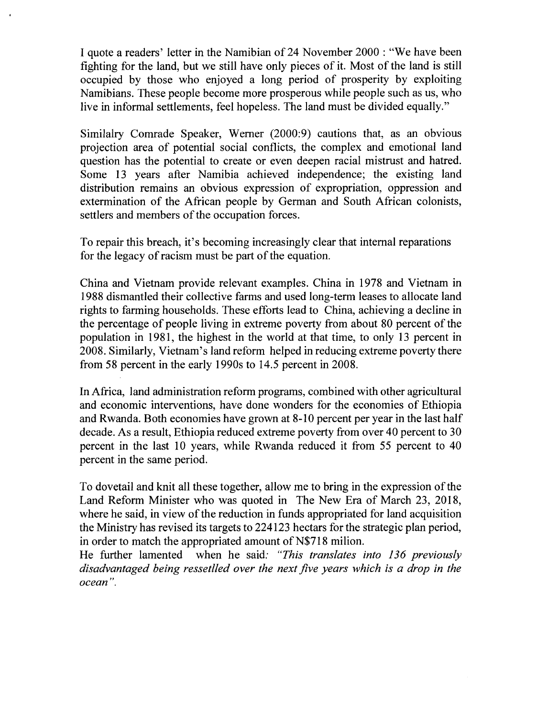I quote a readers' letter in the Namibian of24 November 2000 : "We have been fighting for the land, but we still have only pieces of it. Most of the land is still occupied by those who enjoyed a long period of prosperity by exploiting Namibians. These people become more prosperous while people such as us, who live in informal settlements, feel hopeless. The land must be divided equally."

Similalry Comrade Speaker, Werner (2000:9) cautions that, as an obvious projection area of potential social conflicts, the complex and emotional land question has the potential to create or even deepen racial mistrust and hatred. Some 13 years after Namibia achieved independence; the existing land distribution remains an obvious expression of expropriation, oppression and extermination of the African people by German and South African colonists, settlers and members of the occupation forces.

To repair this breach, it's becoming increasingly clear that internal reparations for the legacy of racism must be part of the equation.

China and Vietnam provide relevant examples. China in 1978 and Vietnam in 1988 dismantled their collective farms and used long-term leases to allocate land rights to farming households. These efforts lead to China, achieving a decline in the percentage of people living in extreme poverty from about 80 percent of the population in 1981, the highest in the world at that time, to only 13 percent in 2008. Similarly, Vietnam's land reform helped in reducing extreme poverty there from 58 percent in the early 1990s to 14.5 percent in 2008.

In Africa, land administration reform programs, combined with other agricultural and economic interventions, have done wonders for the economies of Ethiopia and Rwanda. Both economies have grown at 8-10 percent per year in the last half decade. As a result, Ethiopia reduced extreme poverty from over 40 percent to 30 percent in the last 10 years, while Rwanda reduced it from 55 percent to 40 percent in the same period.

To dovetail and knit all these together, allow me to bring in the expression of the Land Reform Minister who was quoted in The New Era of March 23, 2018, where he said, in view of the reduction in funds appropriated for land acquisition the Ministry has revised its targets to 224123 hectars for the strategic plan period, in order to match the appropriated amount of N\$718 milion.

He further lamented when he said: *"This translates into* 136 *previously disadvantaged being ressetlled over the next five years which is a drop in the ocean".*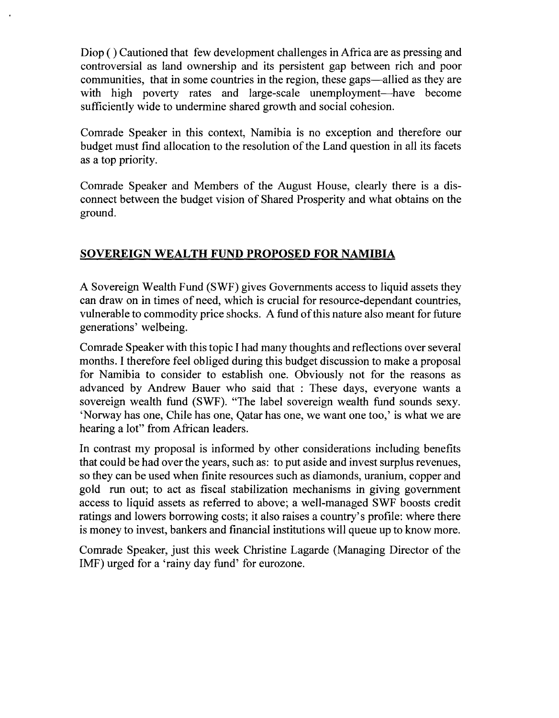Diop ( ) Cautioned that few development challenges in Africa are as pressing and controversial as land ownership and its persistent gap between rich and poor communities, that in some countries in the region, these gaps—allied as they are with high poverty rates and large-scale unemployment—have become sufficiently wide to undermine shared growth and social cohesion.

Comrade Speaker in this context, Namibia is no exception and therefore our budget must find allocation to the resolution of the Land question in all its facets as a top priority.

Comrade Speaker and Members of the August House, clearly there is a disconnect between the budget vision of Shared Prosperity and what obtains on the ground.

# **SOVEREIGN WEALTH FUND PROPOSED FOR NAMIBIA**

A Sovereign Wealth Fund (SWF) gives Governments access to liquid assets they can draw on in times of need, which is crucial for resource-dependant countries, vulnerable to commodity price shocks. A fund ofthis nature also meant for future generations' welbeing.

Comrade Speaker with this topic I had many thoughts and reflections over several months. I therefore feel obliged during this budget discussion to make a proposal for Namibia to consider to establish one. Obviously not for the reasons as advanced by Andrew Bauer who said that : These days, everyone wants a sovereign wealth fund (SWF). "The label sovereign wealth fund sounds sexy. 'Norway has one, Chile has one, Qatar has one, we want one too,' is what we are hearing a lot" from African leaders.

In contrast my proposal is informed by other considerations including benefits that could be had over the years, such as: to put aside and invest surplus revenues, so they can be used when finite resources such as diamonds, uranium, copper and gold run out; to act as fiscal stabilization mechanisms in giving government access to liquid assets as referred to above; a well-managed SWF boosts credit ratings and lowers borrowing costs; it also raises a country's profile: where there is money to invest, bankers and financial institutions will queue up to know more.

Comrade Speaker, just this week Christine Lagarde (Managing Director of the IMF) urged for a 'rainy day fund' for eurozone.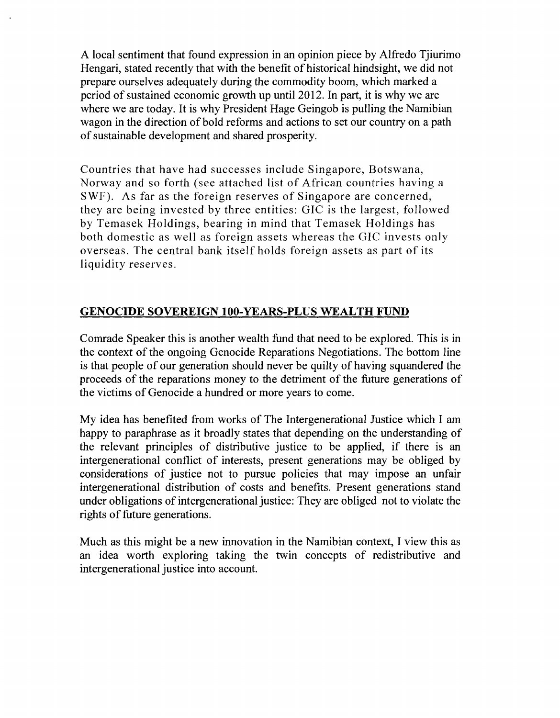A local sentiment that found expression in an opinion piece by Alfredo Tjiurimo Hengari, stated recently that with the benefit of historical hindsight, we did not prepare ourselves adequately during the commodity boom, which marked a period of sustained economic growth up until 2012. In part, it is why we are where we are today. It is why President Hage Geingob is pulling the Namibian wagon in the direction of bold reforms and actions to set our country on a path of sustainable development and shared prosperity.

Countries that have had successes include Singapore, Botswana, Norway and so forth (see attached list of African countries having a SWF). As far as the foreign reserves of Singapore are concerned, they are being invested by three entities: GIC is the largest, followed by Temasek Holdings, bearing in mind that Temasek Holdings has both domestic as well as foreign assets whereas the GIC invests only overseas. The central bank itself holds foreign assets as part of its liquidity reserves.

## **GENOCIDE SOVEREIGN lOO-YEARS-PLUS WEALTH FUND**

Comrade Speaker this is another wealth fund that need to be explored. This is in the context of the ongoing Genocide Reparations Negotiations. The bottom line is that people of our generation should never be quilty of having squandered the proceeds of the reparations money to the detriment of the future generations of the victims of Genocide a hundred or more years to come.

My idea has benefited from works of The Intergenerational Justice which I am happy to paraphrase as it broadly states that depending on the understanding of the relevant principles of distributive justice to be applied, if there is an intergenerational conflict of interests, present generations may be obliged by considerations of justice not to pursue policies that may impose an unfair intergenerational distribution of costs and benefits. Present generations stand under obligations of intergenerational justice: They are obliged not to violate the rights of future generations.

Much as this might be a new innovation in the Namibian context, I view this as an idea worth exploring taking the twin concepts of redistributive and intergenerational justice into account.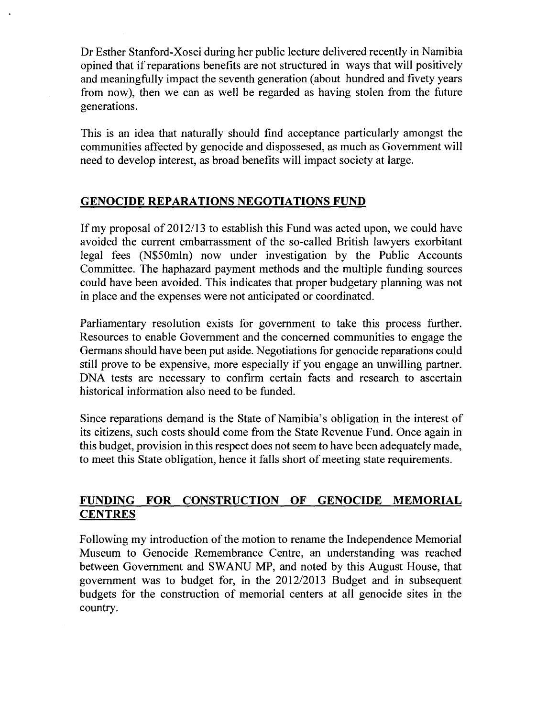Dr Esther Stanford-Xosei during her public lecture delivered recently in Namibia opined that if reparations benefits are not structured in ways that will positively and meaningfully impact the seventh generation (about hundred and fivety years from now), then we can as well be regarded as having stolen from the future generations.

This is an idea that naturally should find acceptance particularly amongst the communities affected by genocide and dispossesed, as much as Government will need to develop interest, as broad benefits will impact society at large.

## **GENOCIDE REPARATIONS NEGOTIATIONS FUND**

If my proposal of 2012/13 to establish this Fund was acted upon, we could have avoided the current embarrassment of the so-called British lawyers exorbitant legal fees (N\$50mln) now under investigation by the Public Accounts Committee. The haphazard payment methods and the multiple funding sources could have been avoided. This indicates that proper budgetary planning was not in place and the expenses were not anticipated or coordinated.

Parliamentary resolution exists for government to take this process further. Resources to enable Government and the concerned communities to engage the Germans should have been put aside. Negotiations for genocide reparations could still prove to be expensive, more especially if you engage an unwilling partner. DNA tests are necessary to confirm certain facts and research to ascertain historical information also need to be funded.

Since reparations demand is the State of Namibia's obligation in the interest of its citizens, such costs should come from the State Revenue Fund. Once again in this budget, provision in this respect does not seem to have been adequately made, to meet this State obligation, hence it falls short of meeting state requirements.

# **FUNDING FOR CONSTRUCTION OF GENOCIDE MEMORIAL CENTRES**

Following my introduction of the motion to rename the Independence Memorial Museum to Genocide Remembrance Centre, an understanding was reached between Government and SWANU MP, and noted by this August House, that government was to budget for, in the *2012/2013* Budget and in subsequent budgets for the construction of memorial centers at all genocide sites in the country.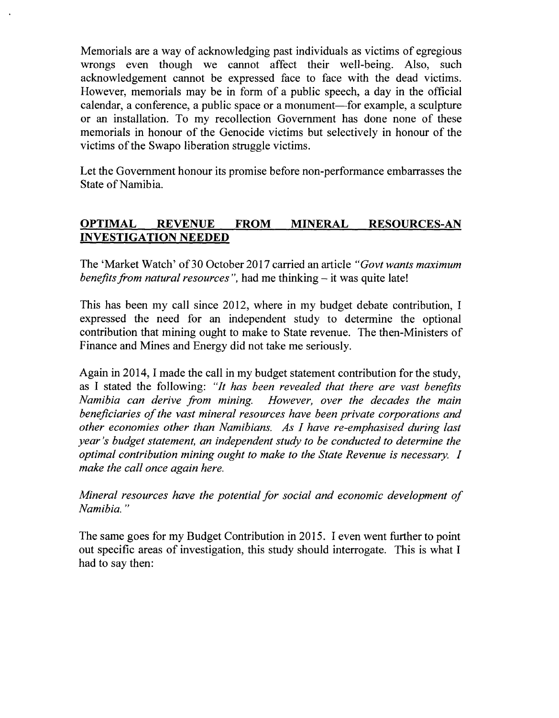Memorials are a way of acknowledging past individuals as victims of egregious wrongs even though we cannot affect their well-being. Also, such acknowledgement cannot be expressed face to face with the dead victims. However, memorials may be in form of a public speech, a day in the official calendar, a conference, a public space or a monument—for example, a sculpture or an installation. To my recollection Government has done none of these memorials in honour of the Genocide victims but selectively in honour of the victims of the Swapo liberation struggle victims.

Let the Government honour its promise before non-performance embarrasses the State of Namibia.

# **OPTIMAL REVENUE FROM MINERAL RESOURCES-AN INVESTIGATION NEEDED**

The 'Market Watch' of30 October 2017 carried an article *"Govt wants maximum benefits from natural resources ",* had me thinking - it was quite late!

This has been my call since 2012, where in my budget debate contribution, I expressed the need for an independent study to determine the optional contribution that mining ought to make to State revenue. The then-Ministers of Finance and Mines and Energy did not take me seriously.

Again in 2014, I made the call in my budget statement contribution for the study, as I stated the following: *"It has been revealed that there are vast benefits Namibia can derive from mining. However, over the decades the main beneficiaries of the vast mineral resources have been private corporations and other economies other than Namibians. As I have re-emphasised during last year's budget statement, an independent study to be conducted to determine the optimal contribution mining ought to make to the State Revenue is necessary. I make the call once again here.*

*Mineral resources have the potential for social and economic development of Namibia. "*

The same goes for my Budget Contribution in 2015. I even went further to point out specific areas of investigation, this study should interrogate. This is what I had to say then: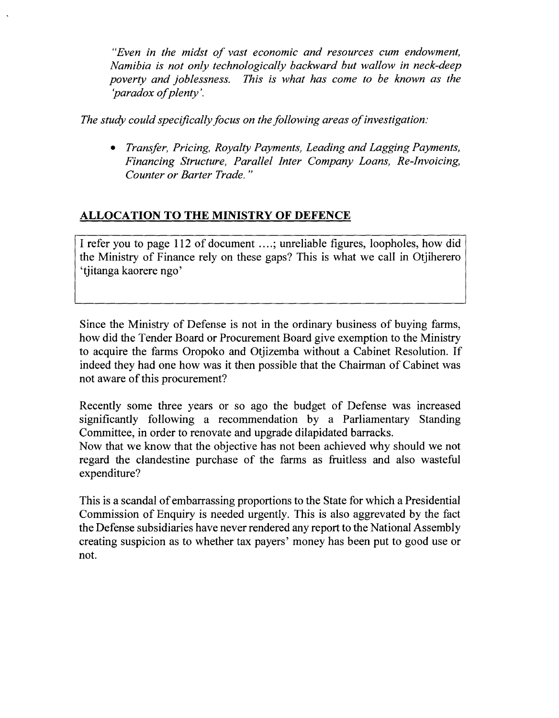*"Even in the midst of vast economic and resources cum endowment, Namibia is not only technologically backward but wallow in neck-deep poverty and joblessness. This is what has come to be known as the 'paradox of plenty '.*

*The study could specifically focus on the following areas of investigation:*

*• Transfer, Pricing, Royalty Payments, Leading and Lagging Payments, Financing Structure, Parallel Inter Company Loans, Re-Invoicing, Counter or Barter Trade. "*

# **ALLOCATION TO THE MINISTRY OF DEFENCE**

I refer you to page 112 of document ....; unreliable figures, loopholes, how did the Ministry of Finance rely on these gaps? This is what we call in Otjiherero 'tjitanga kaorere ngo'

Since the Ministry of Defense is not in the ordinary business of buying farms, how did the Tender Board or Procurement Board give exemption to the Ministry to acquire the farms Oropoko and Otjizemba without a Cabinet Resolution. If indeed they had one how was it then possible that the Chairman of Cabinet was not aware of this procurement?

Recently some three years or so ago the budget of Defense was increased significantly following a recommendation by a Parliamentary Standing Committee, in order to renovate and upgrade dilapidated barracks.

Now that we know that the objective has not been achieved why should we not regard the clandestine purchase of the farms as fruitless and also wasteful expenditure?

This is a scandal of embarrassing proportions to the State for which a Presidential Commission of Enquiry is needed urgently. This is also aggrevated by the fact the Defense subsidiaries have never rendered any report to the National Assembly creating suspicion as to whether tax payers' money has been put to good use or not.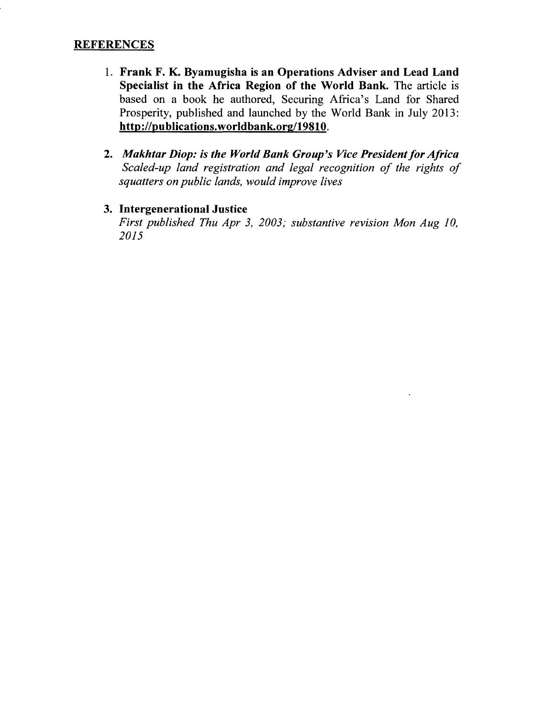#### **REFERENCES**

- 1. Frank F. K. Byamugisha is an Operations Adviser and Lead Land Specialist in the Africa Region of the World Bank. The article is based on a book he authored, Securing Africa's Land for Shared Prosperity, published and launched by the World Bank in July 20l3: <http://publications.worldbank.org/19810.>
- *2. Makhtar Diop: is the World Bank Group's Vice Presidentfor Africa Scaled-up land registration and legal recognition of the rights of squatters on public lands, would improve lives*
- 3. IntergenerationaI Justice *First published Thu Apr* 3, *2003; substantive revision Mon Aug 10, 2015*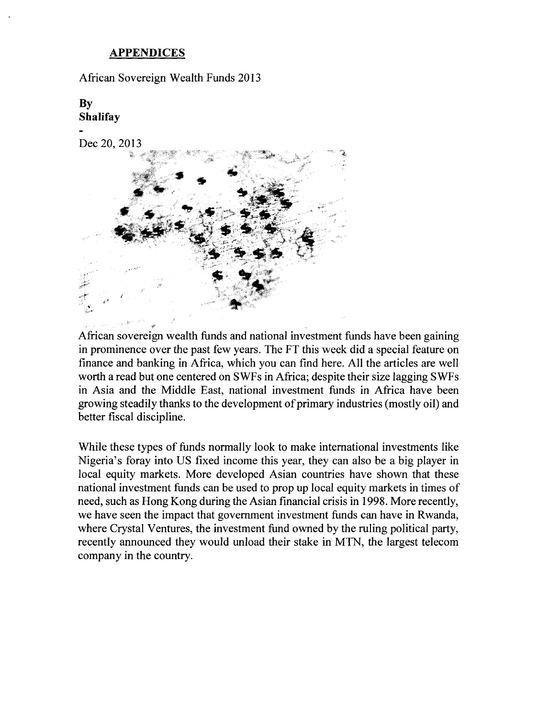#### **APPENDICES**

African Sovereign Wealth Funds 2013

**By Shalifay**

Dec 20,2013



African sovereign wealth funds and national investment funds have been gaining in prominence over the past few years. The FT this week did a special feature on finance and banking in Africa, which you can find here. All the articles are well worth a read but one centered on SWFs in Africa; despite their size lagging SWFs in Asia and the Middle East, national investment funds in Africa have been growing steadily thanks to the development of primary industries (mostly oil) and better fiscal discipline.

While these types of funds normally look to make international investments like Nigeria's foray into US fixed income this year, they can also be a big player in local equity markets. More developed Asian countries have shown that these national investment funds can be used to prop up local equity markets in times of need, such as Hong Kong during the Asian financial crisis in 1998. More recently, we have seen the impact that government investment funds can have in Rwanda, where Crystal Ventures, the investment fund owned by the ruling political party, recently announced they would unload their stake in MTN, the largest telecom company in the country.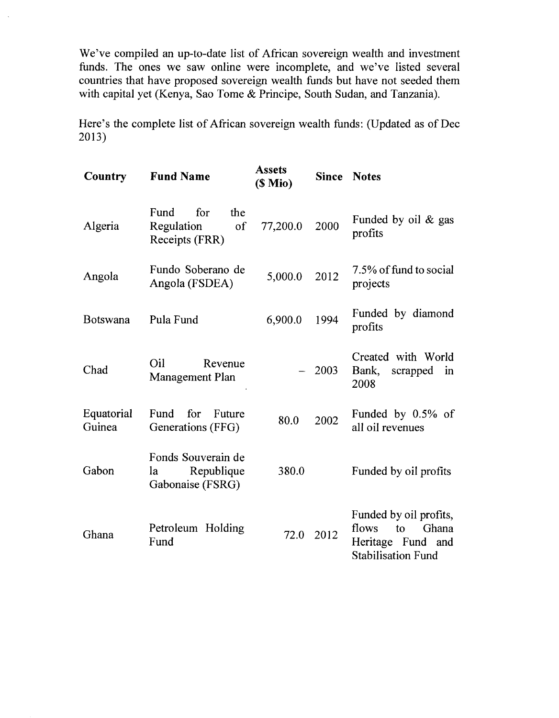We've compiled an up-to-date list of African sovereign wealth and investment funds. The ones we saw online were incomplete, and we've listed several countries that have proposed sovereign wealth funds but have not seeded them with capital yet (Kenya, Sao Tome & Principe, South Sudan, and Tanzania).

Here's the complete list of African sovereign wealth funds: (Updated as of Dec 2013)

| Country              | <b>Fund Name</b>                                           | <b>Assets</b><br>$(S$ Mio $)$ |      | <b>Since Notes</b>                                                                               |
|----------------------|------------------------------------------------------------|-------------------------------|------|--------------------------------------------------------------------------------------------------|
| Algeria              | for<br>Fund<br>the<br>Regulation<br>of<br>Receipts (FRR)   | 77,200.0                      | 2000 | Funded by oil & gas<br>profits                                                                   |
| Angola               | Fundo Soberano de<br>Angola (FSDEA)                        | 5,000.0                       | 2012 | 7.5% of fund to social<br>projects                                                               |
| <b>Botswana</b>      | Pula Fund                                                  | 6,900.0                       | 1994 | Funded by diamond<br>profits                                                                     |
| Chad                 | Oil<br>Revenue<br>Management Plan                          |                               | 2003 | Created with World<br>Bank, scrapped<br>in<br>2008                                               |
| Equatorial<br>Guinea | for<br>Fund<br>Future<br>Generations (FFG)                 | 80.0                          | 2002 | Funded by $0.5\%$ of<br>all oil revenues                                                         |
| Gabon                | Fonds Souverain de<br>Republique<br>la<br>Gabonaise (FSRG) | 380.0                         |      | Funded by oil profits                                                                            |
| Ghana                | Petroleum Holding<br>Fund                                  | 72.0                          | 2012 | Funded by oil profits,<br>flows<br>Ghana<br>to<br>Heritage Fund and<br><b>Stabilisation Fund</b> |